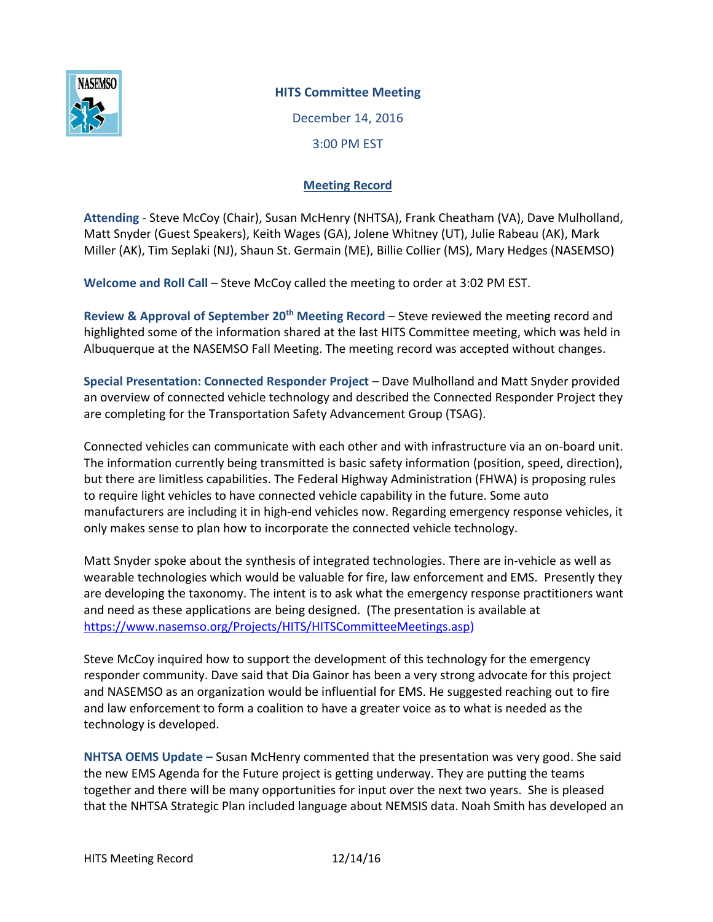

## **HITS Committee Meeting**

December 14, 2016 3:00 PM EST

# **Meeting Record**

**Attending** - Steve McCoy (Chair), Susan McHenry (NHTSA), Frank Cheatham (VA), Dave Mulholland, Matt Snyder (Guest Speakers), Keith Wages (GA), Jolene Whitney (UT), Julie Rabeau (AK), Mark Miller (AK), Tim Seplaki (NJ), Shaun St. Germain (ME), Billie Collier (MS), Mary Hedges (NASEMSO)

**Welcome and Roll Call** – Steve McCoy called the meeting to order at 3:02 PM EST.

**Review & Approval of September 20th Meeting Record** – Steve reviewed the meeting record and highlighted some of the information shared at the last HITS Committee meeting, which was held in Albuquerque at the NASEMSO Fall Meeting. The meeting record was accepted without changes.

**Special Presentation: Connected Responder Project** – Dave Mulholland and Matt Snyder provided an overview of connected vehicle technology and described the Connected Responder Project they are completing for the Transportation Safety Advancement Group (TSAG).

Connected vehicles can communicate with each other and with infrastructure via an on-board unit. The information currently being transmitted is basic safety information (position, speed, direction), but there are limitless capabilities. The Federal Highway Administration (FHWA) is proposing rules to require light vehicles to have connected vehicle capability in the future. Some auto manufacturers are including it in high-end vehicles now. Regarding emergency response vehicles, it only makes sense to plan how to incorporate the connected vehicle technology.

Matt Snyder spoke about the synthesis of integrated technologies. There are in-vehicle as well as wearable technologies which would be valuable for fire, law enforcement and EMS. Presently they are developing the taxonomy. The intent is to ask what the emergency response practitioners want and need as these applications are being designed. (The presentation is available at [https://www.nasemso.org/Projects/HITS/HITSCommitteeMeetings.asp\)](https://www.nasemso.org/Projects/HITS/HITSCommitteeMeetings.asp)

Steve McCoy inquired how to support the development of this technology for the emergency responder community. Dave said that Dia Gainor has been a very strong advocate for this project and NASEMSO as an organization would be influential for EMS. He suggested reaching out to fire and law enforcement to form a coalition to have a greater voice as to what is needed as the technology is developed.

**NHTSA OEMS Update –** Susan McHenry commented that the presentation was very good. She said the new EMS Agenda for the Future project is getting underway. They are putting the teams together and there will be many opportunities for input over the next two years. She is pleased that the NHTSA Strategic Plan included language about NEMSIS data. Noah Smith has developed an